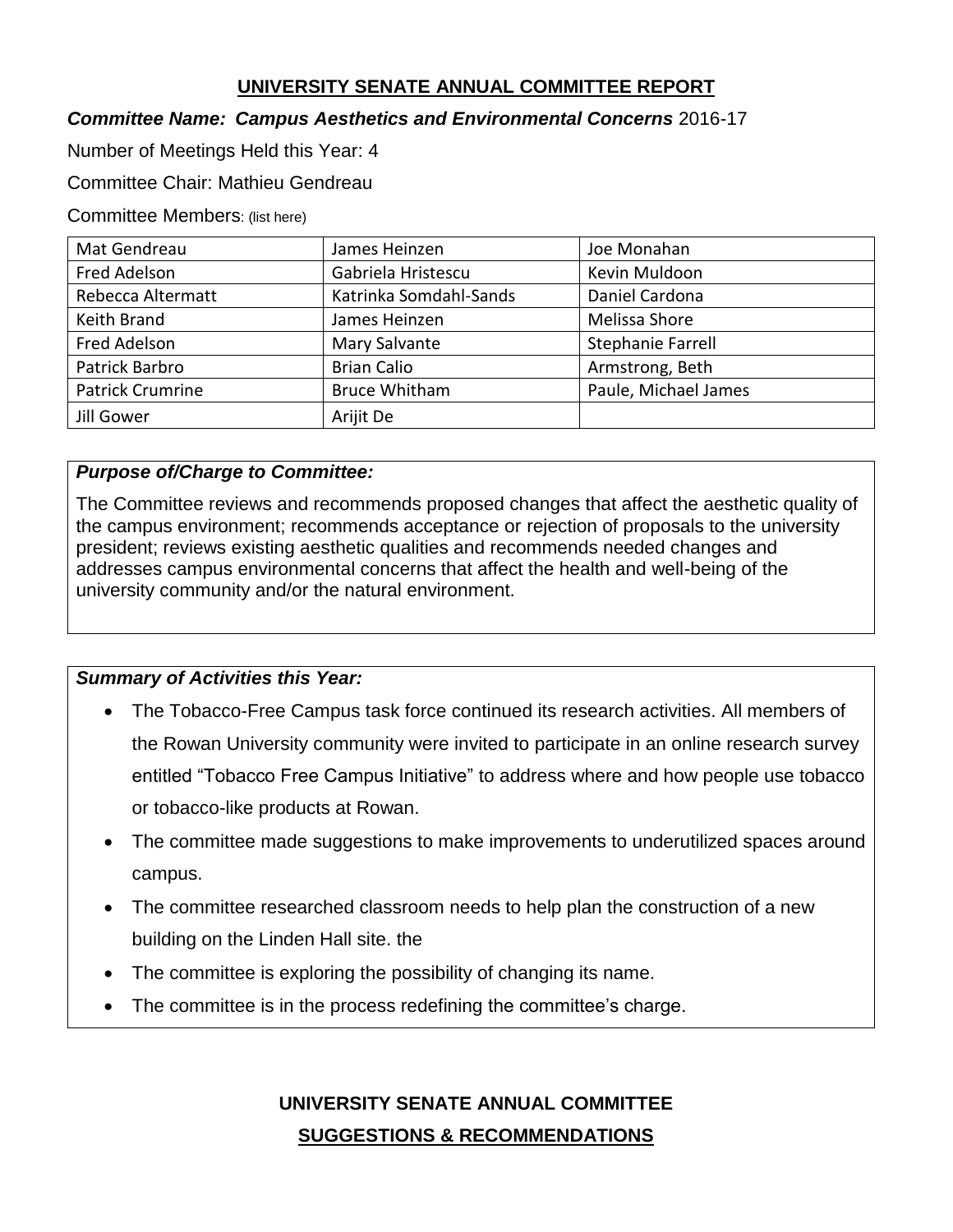## **UNIVERSITY SENATE ANNUAL COMMITTEE REPORT**

### *Committee Name: Campus Aesthetics and Environmental Concerns* 2016-17

Number of Meetings Held this Year: 4

Committee Chair: Mathieu Gendreau

Committee Members: (list here)

| Mat Gendreau            | James Heinzen          | Joe Monahan              |
|-------------------------|------------------------|--------------------------|
| Fred Adelson            | Gabriela Hristescu     | Kevin Muldoon            |
| Rebecca Altermatt       | Katrinka Somdahl-Sands | Daniel Cardona           |
| Keith Brand             | James Heinzen          | Melissa Shore            |
| Fred Adelson            | Mary Salvante          | <b>Stephanie Farrell</b> |
| Patrick Barbro          | <b>Brian Calio</b>     | Armstrong, Beth          |
| <b>Patrick Crumrine</b> | <b>Bruce Whitham</b>   | Paule, Michael James     |
| Jill Gower              | Arijit De              |                          |

## *Purpose of/Charge to Committee:*

The Committee reviews and recommends proposed changes that affect the aesthetic quality of the campus environment; recommends acceptance or rejection of proposals to the university president; reviews existing aesthetic qualities and recommends needed changes and addresses campus environmental concerns that affect the health and well-being of the university community and/or the natural environment.

#### *Summary of Activities this Year:*

- The Tobacco-Free Campus task force continued its research activities. All members of the Rowan University community were invited to participate in an online research survey entitled "Tobacco Free Campus Initiative" to address where and how people use tobacco or tobacco-like products at Rowan.
- The committee made suggestions to make improvements to underutilized spaces around campus.
- The committee researched classroom needs to help plan the construction of a new building on the Linden Hall site. the
- The committee is exploring the possibility of changing its name.
- The committee is in the process redefining the committee's charge.

**UNIVERSITY SENATE ANNUAL COMMITTEE SUGGESTIONS & RECOMMENDATIONS**